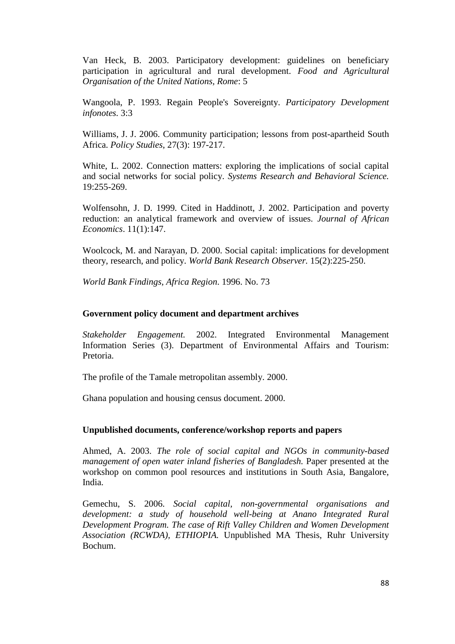Van Heck, B. 2003. Participatory development: guidelines on beneficiary participation in agricultural and rural development. *Food and Agricultural Organisation of the United Nations, Rome*: 5

Wangoola, P. 1993. Regain People's Sovereignty. *Participatory Development infonotes.* 3:3

Williams, J. J. 2006. Community participation; lessons from post-apartheid South Africa. *Policy Studies*, 27(3): 197-217.

White, L. 2002. Connection matters: exploring the implications of social capital and social networks for social policy. *Systems Research and Behavioral Science.* 19:255-269.

Wolfensohn, J. D. 1999. Cited in Haddinott, J. 2002. Participation and poverty reduction: an analytical framework and overview of issues. *Journal of African Economics*. 11(1):147.

Woolcock, M. and Narayan, D. 2000. Social capital: implications for development theory, research, and policy. *World Bank Research Observer.* 15(2):225-250.

*World Bank Findings, Africa Region*. 1996. No. 73

## **Government policy document and department archives**

*Stakeholder Engagement.* 2002. Integrated Environmental Management Information Series (3). Department of Environmental Affairs and Tourism: Pretoria.

The profile of the Tamale metropolitan assembly. 2000.

Ghana population and housing census document. 2000.

## **Unpublished documents, conference/workshop reports and papers**

Ahmed, A. 2003. *The role of social capital and NGOs in community-based management of open water inland fisheries of Bangladesh.* Paper presented at the workshop on common pool resources and institutions in South Asia, Bangalore, India.

Gemechu, S. 2006. *Social capital, non-governmental organisations and development: a study of household well-being at Anano Integrated Rural Development Program. The case of Rift Valley Children and Women Development Association (RCWDA), ETHIOPIA.* Unpublished MA Thesis, Ruhr University Bochum.